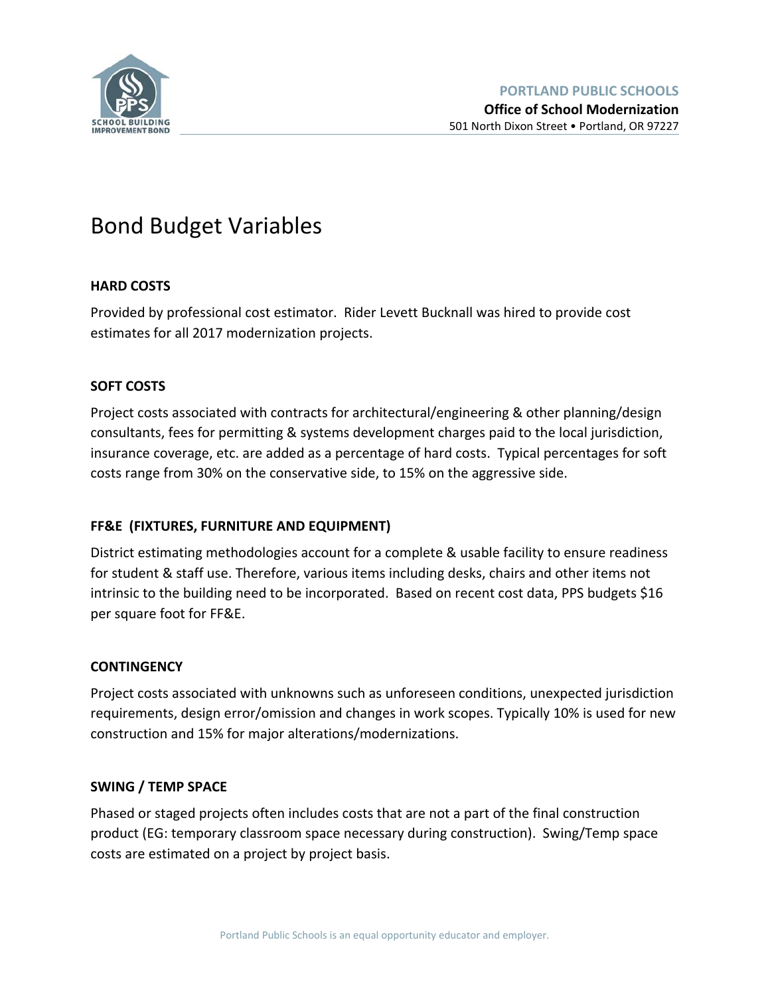

# Bond Budget Variables

# **HARD COSTS**

Provided by professional cost estimator. Rider Levett Bucknall was hired to provide cost estimates for all 2017 modernization projects.

# **SOFT COSTS**

Project costs associated with contracts for architectural/engineering & other planning/design consultants, fees for permitting & systems development charges paid to the local jurisdiction, insurance coverage, etc. are added as a percentage of hard costs. Typical percentages for soft costs range from 30% on the conservative side, to 15% on the aggressive side.

# **FF&E (FIXTURES, FURNITURE AND EQUIPMENT)**

District estimating methodologies account for a complete & usable facility to ensure readiness for student & staff use. Therefore, various items including desks, chairs and other items not intrinsic to the building need to be incorporated. Based on recent cost data, PPS budgets \$16 per square foot for FF&E.

# **CONTINGENCY**

Project costs associated with unknowns such as unforeseen conditions, unexpected jurisdiction requirements, design error/omission and changes in work scopes. Typically 10% is used for new construction and 15% for major alterations/modernizations.

# **SWING / TEMP SPACE**

Phased or staged projects often includes costs that are not a part of the final construction product (EG: temporary classroom space necessary during construction). Swing/Temp space costs are estimated on a project by project basis.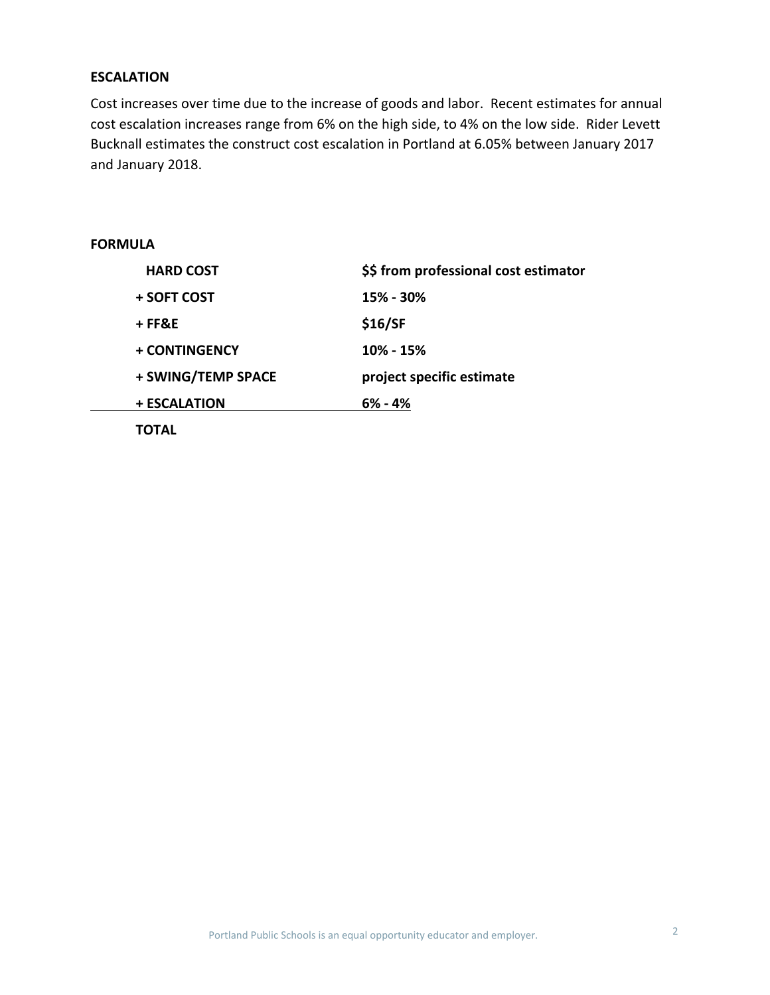## **ESCALATION**

Cost increases over time due to the increase of goods and labor. Recent estimates for annual cost escalation increases range from 6% on the high side, to 4% on the low side. Rider Levett Bucknall estimates the construct cost escalation in Portland at 6.05% between January 2017 and January 2018.

# **FORMULA**

| <b>HARD COST</b>   | \$\$ from professional cost estimator |
|--------------------|---------------------------------------|
| + SOFT COST        | 15% - 30%                             |
| + FF&E             | \$16/SF                               |
| + CONTINGENCY      | 10% - 15%                             |
| + SWING/TEMP SPACE | project specific estimate             |
| + ESCALATION       | $6\%$ - 4%                            |
|                    |                                       |

**TOTAL**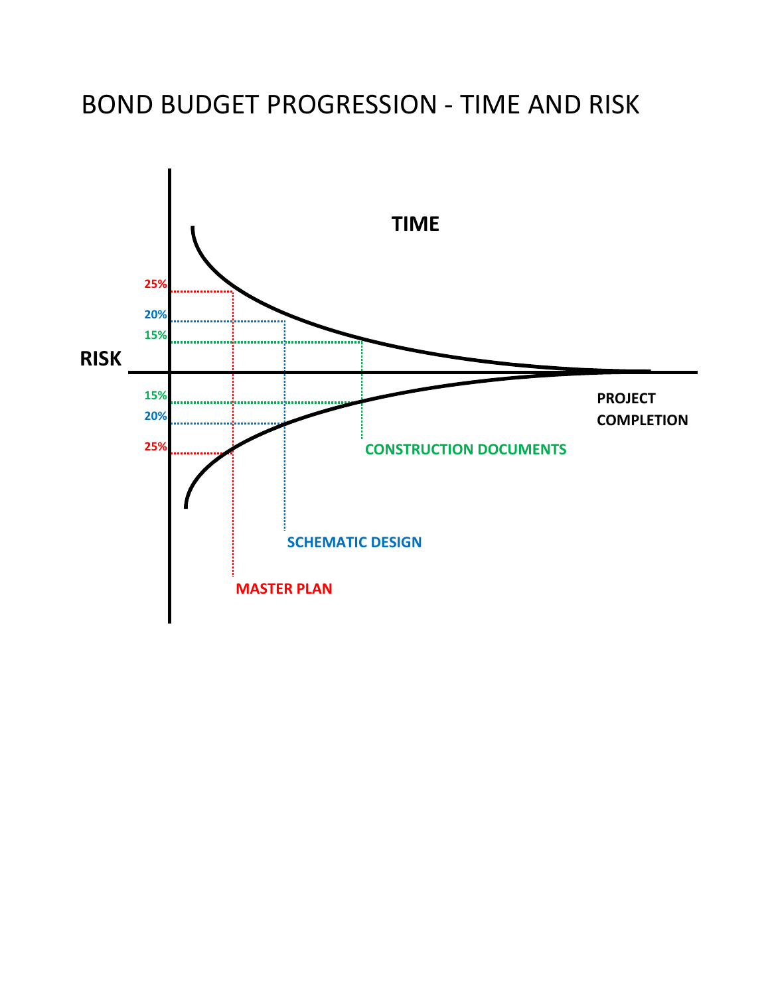# BOND BUDGET PROGRESSION ‐ TIME AND RISK

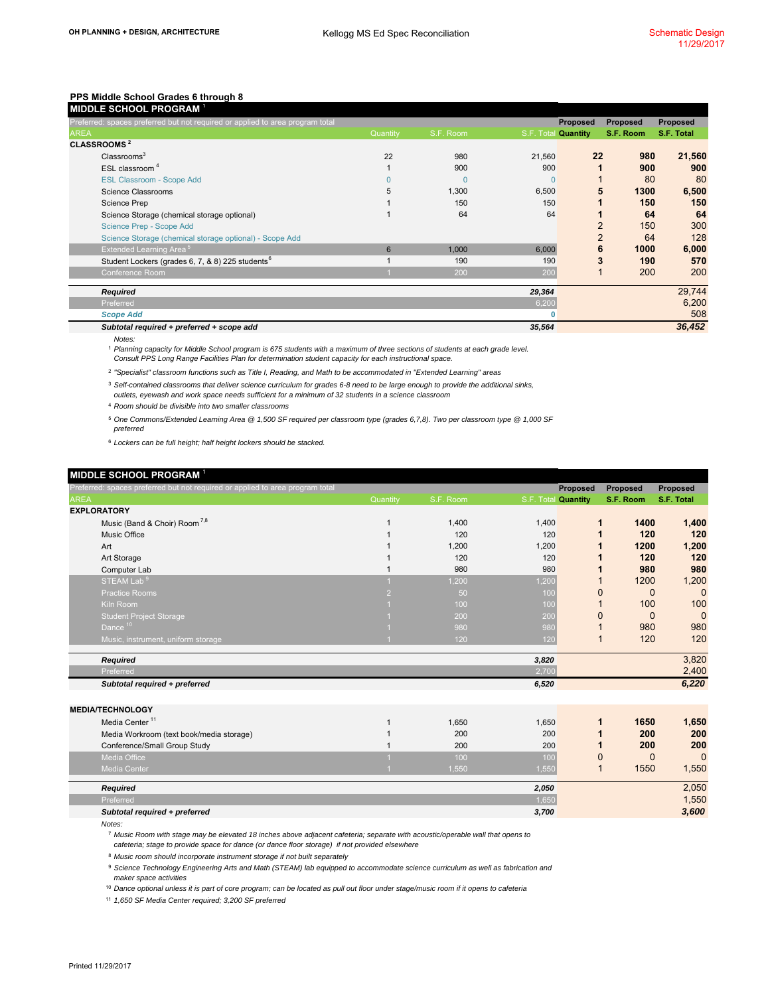|             | MIDDLE SCHOOL PROGRAM 1                                                       |          |           |             |                     |           |            |
|-------------|-------------------------------------------------------------------------------|----------|-----------|-------------|---------------------|-----------|------------|
|             | Preferred: spaces preferred but not required or applied to area program total |          |           |             | <b>Proposed</b>     | Proposed  | Proposed   |
| <b>AREA</b> |                                                                               | Quantity | S.F. Room |             | S.F. Total Quantity | S.F. Room | S.F. Total |
|             | <b>CLASSROOMS<sup>2</sup></b>                                                 |          |           |             |                     |           |            |
|             | Classrooms <sup>3</sup>                                                       | 22       | 980       | 21,560      | 22                  | 980       | 21,560     |
|             | ESL classroom <sup>4</sup>                                                    |          | 900       | 900         |                     | 900       | 900        |
|             | <b>ESL Classroom - Scope Add</b>                                              |          | $\Omega$  | $\Omega$    |                     | 80        | 80         |
|             | Science Classrooms                                                            | 5        | 1,300     | 6,500       | 5                   | 1300      | 6,500      |
|             | Science Prep                                                                  |          | 150       | 150         |                     | 150       | 150        |
|             | Science Storage (chemical storage optional)                                   |          | 64        | 64          |                     | 64        | 64         |
|             | Science Prep - Scope Add                                                      |          |           |             | $\overline{2}$      | 150       | 300        |
|             | Science Storage (chemical storage optional) - Scope Add                       |          |           |             | $\overline{2}$      | 64        | 128        |
|             | Extended Learning Area <sup>5</sup>                                           | 6        | 1,000     | 6,000       | 6                   | 1000      | 6,000      |
|             | Student Lockers (grades 6, 7, & 8) 225 students <sup>6</sup>                  |          | 190       | 190         | 3                   | 190       | 570        |
|             | Conference Room                                                               |          | 200       | 200         |                     | 200       | 200        |
|             | Required                                                                      |          |           | 29,364      |                     |           | 29,744     |
|             | Preferred                                                                     |          |           | 6,200       |                     |           | 6,200      |
|             | <b>Scope Add</b>                                                              |          |           | $\mathbf 0$ |                     |           | 508        |
|             | Subtotal required + preferred + scope add                                     |          |           | 35,564      |                     |           | 36,452     |

*Notes:*

<sup>1</sup> Planning capacity for Middle School program is 675 students with a maximum of three sections of students at each grade level.

*Consult PPS Long Range Facilities Plan for determination student capacity for each instructional space.*

2 *"Specialist" classroom functions such as Title I, Reading, and Math to be accommodated in "Extended Learning" areas*

3 *Self-contained classrooms that deliver science curriculum for grades 6-8 need to be large enough to provide the additional sinks,* 

*outlets, eyewash and work space needs sufficient for a minimum of 32 students in a science classroom*

<sup>4</sup> *Room should be divisible into two smaller classrooms*

5 *One Commons/Extended Learning Area @ 1,500 SF required per classroom type (grades 6,7,8). Two per classroom type @ 1,000 SF preferred*

6 *Lockers can be full height; half height lockers should be stacked.* 

#### **MIDDLE SCHOOL PROGRAM** <sup>1</sup>

| Preferred: spaces preferred but not required or applied to area program total |          |           |                     | <b>Proposed</b> | <b>Proposed</b> | <b>Proposed</b> |
|-------------------------------------------------------------------------------|----------|-----------|---------------------|-----------------|-----------------|-----------------|
| <b>AREA</b>                                                                   | Quantity | S.F. Room | S.F. Total Quantity |                 | S.F. Room       | S.F. Total      |
| <b>EXPLORATORY</b>                                                            |          |           |                     |                 |                 |                 |
| Music (Band & Choir) Room <sup>7,8</sup>                                      |          | 1,400     | 1,400               | 1               | 1400            | 1,400           |
| Music Office                                                                  |          | 120       | 120                 | 1               | 120             | 120             |
| Art                                                                           |          | 1,200     | 1,200               |                 | 1200            | 1,200           |
| Art Storage                                                                   |          | 120       | 120                 |                 | 120             | 120             |
| Computer Lab                                                                  |          | 980       | 980                 |                 | 980             | 980             |
| STEAM Lab <sup>9</sup>                                                        |          | 1,200     | 1,200               |                 | 1200            | 1,200           |
| <b>Practice Rooms</b>                                                         |          | 50        | 100                 | 0               | $\mathbf{0}$    | $\Omega$        |
| Kiln Room                                                                     |          | 100       | 100                 |                 | 100             | 100             |
| <b>Student Project Storage</b>                                                |          | 200       | 200                 | 0               | $\Omega$        | $\Omega$        |
| Dance <sup>10</sup>                                                           |          | 980       | 980                 |                 | 980             | 980             |
| Music, instrument, uniform storage                                            |          | 120       | 120                 | 1               | 120             | 120             |
|                                                                               |          |           |                     |                 |                 |                 |
| Required<br>Preferred                                                         |          |           | 3,820<br>2,700      |                 |                 | 3,820<br>2,400  |
|                                                                               |          |           |                     |                 |                 |                 |
| Subtotal required + preferred                                                 |          |           | 6,520               |                 |                 | 6,220           |
| <b>MEDIA/TECHNOLOGY</b>                                                       |          |           |                     |                 |                 |                 |
| Media Center <sup>11</sup>                                                    |          | 1,650     | 1,650               | 1               | 1650            | 1,650           |
| Media Workroom (text book/media storage)                                      |          | 200       | 200                 | 1               | 200             | 200             |
| Conference/Small Group Study                                                  |          | 200       | 200                 | 1               | 200             | 200             |
| <b>Media Office</b>                                                           |          | 100       | 100                 | 0               | $\mathbf{0}$    | $\Omega$        |
| <b>Media Center</b>                                                           |          | 1,550     | 1,550               | 1               | 1550            | 1,550           |
|                                                                               |          |           |                     |                 |                 |                 |
| Required                                                                      |          |           | 2,050               |                 |                 | 2,050           |
| Preferred                                                                     |          |           | 1,650               |                 |                 | 1,550           |
| Subtotal required + preferred                                                 |          |           | 3,700               |                 |                 | 3,600           |

*Notes:*

7 *Music Room with stage may be elevated 18 inches above adjacent cafeteria; separate with acoustic/operable wall that opens to cafeteria; stage to provide space for dance (or dance floor storage) if not provided elsewhere*

8 *Music room should incorporate instrument storage if not built separately*

<sup>9</sup> Science Technology Engineering Arts and Math (STEAM) lab equipped to accommodate science curriculum as well as fabrication and *maker space activities*

10 *Dance optional unless it is part of core program; can be located as pull out floor under stage/music room if it opens to cafeteria*

<sup>11</sup> *1,650 SF Media Center required; 3,200 SF preferred*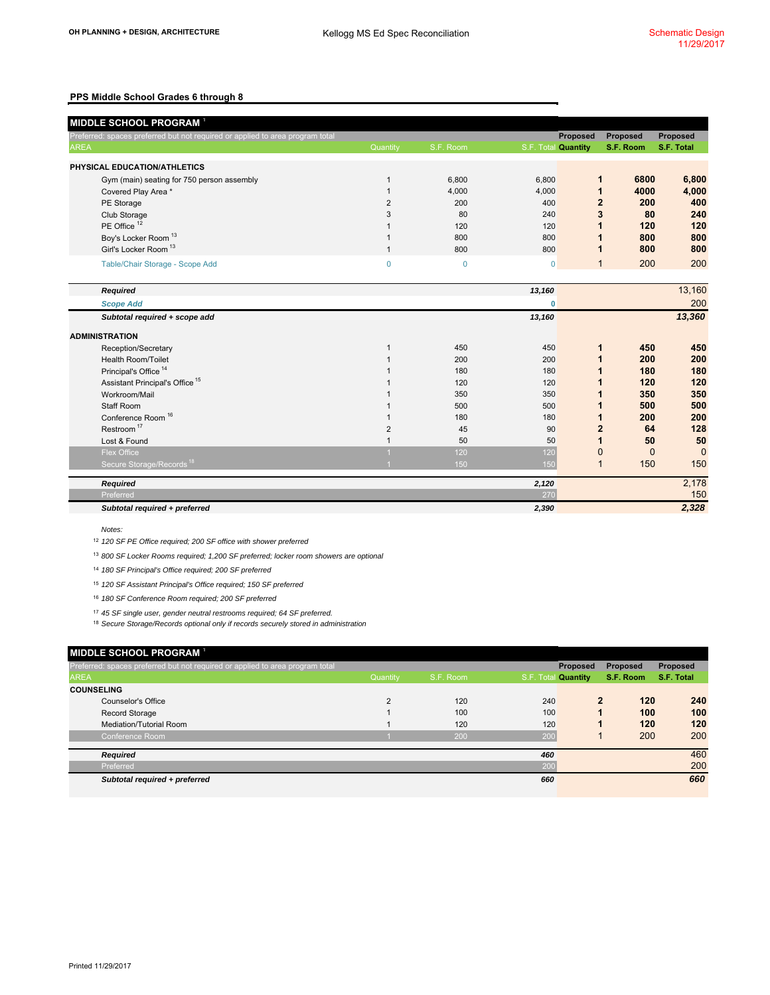|             | <b>MIDDLE SCHOOL PROGRAM<sup>1</sup></b>                                      |                |             |                     |                |              |            |
|-------------|-------------------------------------------------------------------------------|----------------|-------------|---------------------|----------------|--------------|------------|
|             | Preferred: spaces preferred but not required or applied to area program total |                |             |                     | Proposed       | Proposed     | Proposed   |
| <b>AREA</b> |                                                                               | Quantity       | S.F. Room   | S.F. Total Quantity |                | S.F. Room    | S.F. Total |
|             | PHYSICAL EDUCATION/ATHLETICS                                                  |                |             |                     |                |              |            |
|             | Gym (main) seating for 750 person assembly                                    | 1              | 6,800       | 6,800               | 1              | 6800         | 6,800      |
|             | Covered Play Area *                                                           |                | 4,000       | 4.000               | 1              | 4000         | 4,000      |
|             | PE Storage                                                                    | $\overline{2}$ | 200         | 400                 | $\overline{2}$ | 200          | 400        |
|             | Club Storage                                                                  | 3              | 80          | 240                 | 3              | 80           | 240        |
|             | PE Office <sup>12</sup>                                                       |                | 120         | 120                 | 1              | 120          | 120        |
|             | Boy's Locker Room <sup>13</sup>                                               |                | 800         | 800                 | 1              | 800          | 800        |
|             | Girl's Locker Room <sup>13</sup>                                              | 1              | 800         | 800                 | 1              | 800          | 800        |
|             | Table/Chair Storage - Scope Add                                               | $\mathbf 0$    | $\mathbf 0$ | $\mathbf 0$         | $\mathbf{1}$   | 200          | 200        |
|             |                                                                               |                |             |                     |                |              |            |
|             | <b>Required</b>                                                               |                |             | 13,160              |                |              | 13,160     |
|             | <b>Scope Add</b>                                                              |                |             | $\mathbf{0}$        |                |              | 200        |
|             | Subtotal required + scope add                                                 |                |             | 13,160              |                |              | 13,360     |
|             | <b>ADMINISTRATION</b>                                                         |                |             |                     |                |              |            |
|             | Reception/Secretary                                                           | 1              | 450         | 450                 | $\mathbf 1$    | 450          | 450        |
|             | <b>Health Room/Toilet</b>                                                     |                | 200         | 200                 | 1              | 200          | 200        |
|             | Principal's Office <sup>14</sup>                                              |                | 180         | 180                 | 1              | 180          | 180        |
|             | Assistant Principal's Office <sup>15</sup>                                    |                | 120         | 120                 | 1              | 120          | 120        |
|             | Workroom/Mail                                                                 |                | 350         | 350                 | 1              | 350          | 350        |
|             | Staff Room                                                                    |                | 500         | 500                 | 1              | 500          | 500        |
|             | Conference Room <sup>16</sup>                                                 |                | 180         | 180                 | $\mathbf 1$    | 200          | 200        |
|             | Restroom <sup>17</sup>                                                        | $\overline{2}$ | 45          | 90                  | $\overline{2}$ | 64           | 128        |
|             | Lost & Found                                                                  |                | 50          | 50                  | $\mathbf 1$    | 50           | 50         |
|             | <b>Flex Office</b>                                                            |                | 120         | 120                 | $\mathbf{0}$   | $\mathbf{0}$ | $\Omega$   |
|             | Secure Storage/Records <sup>18</sup>                                          |                | 150         | 150                 | $\mathbf{1}$   | 150          | 150        |
|             | Required                                                                      |                |             | 2,120               |                |              | 2,178      |
|             | Preferred                                                                     |                |             | 270                 |                |              | 150        |
|             | Subtotal required + preferred                                                 |                |             | 2,390               |                |              | 2,328      |

#### *Notes:*

12 *120 SF PE Office required; 200 SF office with shower preferred*

13 *800 SF Locker Rooms required; 1,200 SF preferred; locker room showers are optional*

14 *180 SF Principal's Office required; 200 SF preferred*

15 *120 SF Assistant Principal's Office required; 150 SF preferred*

16 *180 SF Conference Room required; 200 SF preferred*

17 *45 SF single user, gender neutral restrooms required; 64 SF preferred.* 

18 *Secure Storage/Records optional only if records securely stored in administration*

|                   | MIDDLE SCHOOL PROGRAM <sup>1</sup>                                            |          |           |           |                 |           |            |
|-------------------|-------------------------------------------------------------------------------|----------|-----------|-----------|-----------------|-----------|------------|
|                   | Preferred: spaces preferred but not required or applied to area program total |          |           |           | <b>Proposed</b> | Proposed  | Proposed   |
| <b>AREA</b>       |                                                                               |          | S.F. Room | S.F. Tota | <b>Quantity</b> | S.F. Room | S.F. Total |
| <b>COUNSELING</b> |                                                                               |          |           |           |                 |           |            |
|                   | Counselor's Office                                                            | $\Omega$ | 120       | 240       | $\mathbf{2}$    | 120       | 240        |
|                   | <b>Record Storage</b>                                                         |          | 100       | 100       |                 | 100       | 100        |
|                   | Mediation/Tutorial Room                                                       |          | 120       | 120       |                 | 120       | 120        |
|                   | Conference Room                                                               |          | 200       | 200       |                 | 200       | 200        |
|                   |                                                                               |          |           |           |                 |           | 460        |
|                   | Required                                                                      |          |           | 460       |                 |           |            |
|                   | Preferred                                                                     |          |           | 200       |                 |           | 200        |
|                   | Subtotal required + preferred                                                 |          |           | 660       |                 |           | 660        |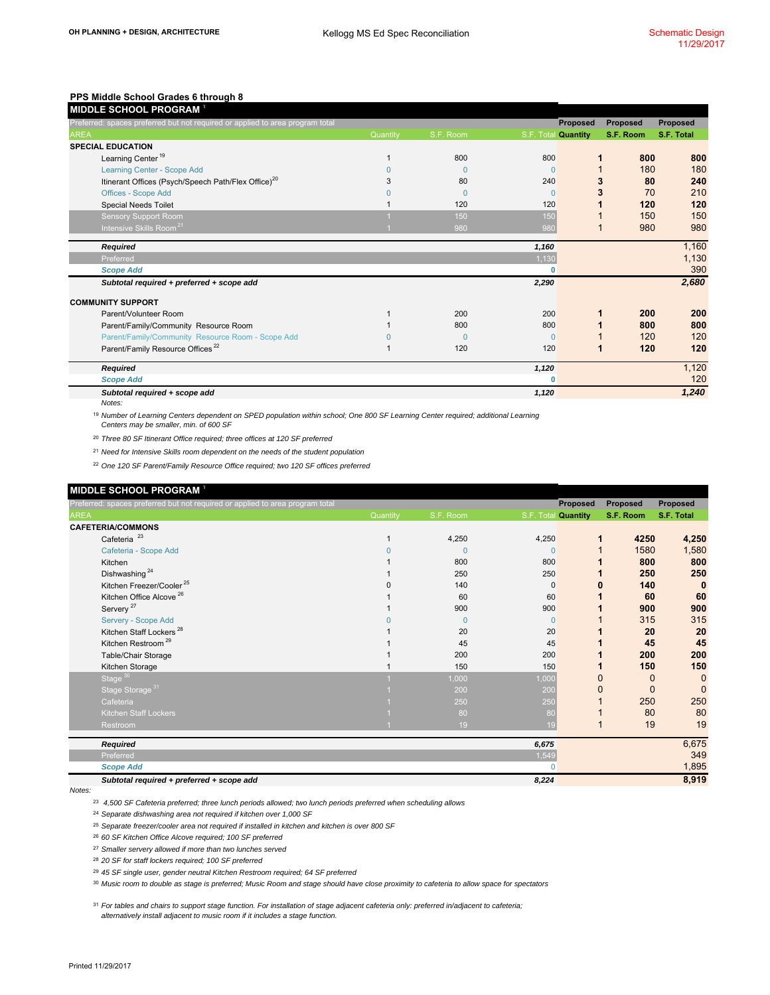| Preferred: spaces preferred but not required or applied to area program total |          |           |                     | <b>Proposed</b> | <b>Proposed</b> | Proposed   |
|-------------------------------------------------------------------------------|----------|-----------|---------------------|-----------------|-----------------|------------|
| <b>AREA</b>                                                                   | Quantity | S.F. Room | S.F. Total Quantity |                 | S.F. Room       | S.F. Total |
| <b>SPECIAL EDUCATION</b>                                                      |          |           |                     |                 |                 |            |
| Learning Center <sup>19</sup>                                                 |          | 800       | 800                 |                 | 800             | 800        |
| Learning Center - Scope Add                                                   |          | $\Omega$  | $\Omega$            |                 | 180             | 180        |
| Itinerant Offices (Psych/Speech Path/Flex Office) <sup>20</sup>               | 3        | 80        | 240                 |                 | 80              | 240        |
| <b>Offices - Scope Add</b>                                                    |          | $\Omega$  | $\Omega$            |                 | 70              | 210        |
| <b>Special Needs Toilet</b>                                                   |          | 120       | 120                 |                 | 120             | 120        |
| <b>Sensory Support Room</b>                                                   |          | 150       | 150                 |                 | 150             | 150        |
| Intensive Skills Room <sup>21</sup>                                           |          | 980       | 980                 |                 | 980             | 980        |
| Required                                                                      |          |           | 1,160               |                 |                 | 1,160      |
| Preferred                                                                     |          |           | 1,130               |                 |                 | 1,130      |
| <b>Scope Add</b>                                                              |          |           | 0                   |                 |                 | 390        |
| Subtotal required + preferred + scope add                                     |          |           | 2,290               |                 |                 | 2,680      |
| <b>COMMUNITY SUPPORT</b>                                                      |          |           |                     |                 |                 |            |
| Parent/Volunteer Room                                                         |          | 200       | 200                 |                 | 200             | 200        |
| Parent/Family/Community Resource Room                                         |          | 800       | 800                 |                 | 800             | 800        |
| Parent/Family/Community Resource Room - Scope Add                             |          | $\Omega$  | $\Omega$            |                 | 120             | 120        |
| Parent/Family Resource Offices <sup>22</sup>                                  |          | 120       | 120                 |                 | 120             | 120        |
| Required                                                                      |          |           | 1,120               |                 |                 | 1,120      |
| <b>Scope Add</b>                                                              |          |           | o                   |                 |                 | 120        |
| Subtotal required + scope add                                                 |          |           | 1,120               |                 |                 | 1,240      |
| Notes:                                                                        |          |           |                     |                 |                 |            |

19 *Number of Learning Centers dependent on SPED population within school; One 800 SF Learning Center required; additional Learning Centers may be smaller, min. of 600 SF*

20 *Three 80 SF Itinerant Office required; three offices at 120 SF preferred* 21 *Need for Intensive Skills room dependent on the needs of the student population*

22 *One 120 SF Parent/Family Resource Office required; two 120 SF offices preferred*

|             | MIDDLE SCHOOL PROGRAM <sup>1</sup>                                            |          |              |              |                     |                |                |
|-------------|-------------------------------------------------------------------------------|----------|--------------|--------------|---------------------|----------------|----------------|
|             | Preferred: spaces preferred but not required or applied to area program total |          |              |              | <b>Proposed</b>     | Proposed       | Proposed       |
| <b>AREA</b> |                                                                               | Quantity | S.F. Room    |              | S.F. Total Quantity | S.F. Room      | S.F. Total     |
|             | <b>CAFETERIA/COMMONS</b>                                                      |          |              |              |                     |                |                |
|             | Cafeteria <sup>23</sup>                                                       |          | 4,250        | 4,250        |                     | 4250           | 4,250          |
|             | Cafeteria - Scope Add                                                         |          | $\mathbf{0}$ | $\Omega$     |                     | 1580           | 1,580          |
|             | Kitchen                                                                       |          | 800          | 800          |                     | 800            | 800            |
|             | Dishwashing <sup>24</sup>                                                     |          | 250          | 250          |                     | 250            | 250            |
|             | Kitchen Freezer/Cooler <sup>25</sup>                                          |          | 140          | $\mathbf 0$  |                     | 140            | $\bf{0}$       |
|             | Kitchen Office Alcove <sup>26</sup>                                           |          | 60           | 60           |                     | 60             | 60             |
|             | Servery <sup>27</sup>                                                         |          | 900          | 900          |                     | 900            | 900            |
|             | Servery - Scope Add                                                           |          | $\mathbf{0}$ | $\mathbf{0}$ |                     | 315            | 315            |
|             | Kitchen Staff Lockers <sup>28</sup>                                           |          | 20           | 20           |                     | 20             | 20             |
|             | Kitchen Restroom <sup>29</sup>                                                |          | 45           | 45           |                     | 45             | 45             |
|             | Table/Chair Storage                                                           |          | 200          | 200          |                     | 200            | 200            |
|             | Kitchen Storage                                                               |          | 150          | 150          |                     | 150            | 150            |
|             | Stage $30$                                                                    |          | 1,000        | 1,000        |                     | $\overline{0}$ | $\overline{0}$ |
|             | Stage Storage <sup>31</sup>                                                   |          | 200          | 200          | O                   | $\Omega$       | $\Omega$       |
|             | Cafeteria                                                                     |          | 250          | 250          |                     | 250            | 250            |
|             | <b>Kitchen Staff Lockers</b>                                                  |          | 80           | 80           |                     | 80             | 80             |
|             | Restroom                                                                      |          | 19           | 19           |                     | 19             | 19             |
|             | <b>Required</b>                                                               |          |              | 6,675        |                     |                | 6,675          |
|             | Preferred                                                                     |          |              | 1,549        |                     |                | 349            |
|             | <b>Scope Add</b>                                                              |          |              | O            |                     |                | 1,895          |
|             | Subtotal required + preferred + scope add                                     |          |              | 8,224        |                     |                | 8,919          |

*Notes:*

23  *4,500 SF Cafeteria preferred; three lunch periods allowed; two lunch periods preferred when scheduling allows*

24 *Separate dishwashing area not required if kitchen over 1,000 SF*

- 25 *Separate freezer/cooler area not required if installed in kitchen and kitchen is over 800 SF*
- 26 *60 SF Kitchen Office Alcove required; 100 SF preferred*
- 27 *Smaller servery allowed if more than two lunches served*
- 28 *20 SF for staff lockers required; 100 SF preferred*
- 29 *45 SF single user, gender neutral Kitchen Restroom required; 64 SF preferred*
- 30 *Music room to double as stage is preferred; Music Room and stage should have close proximity to cafeteria to allow space for spectators*

31 *For tables and chairs to support stage function. For installation of stage adjacent cafeteria only: preferred in/adjacent to cafeteria; alternatively install adjacent to music room if it includes a stage function.*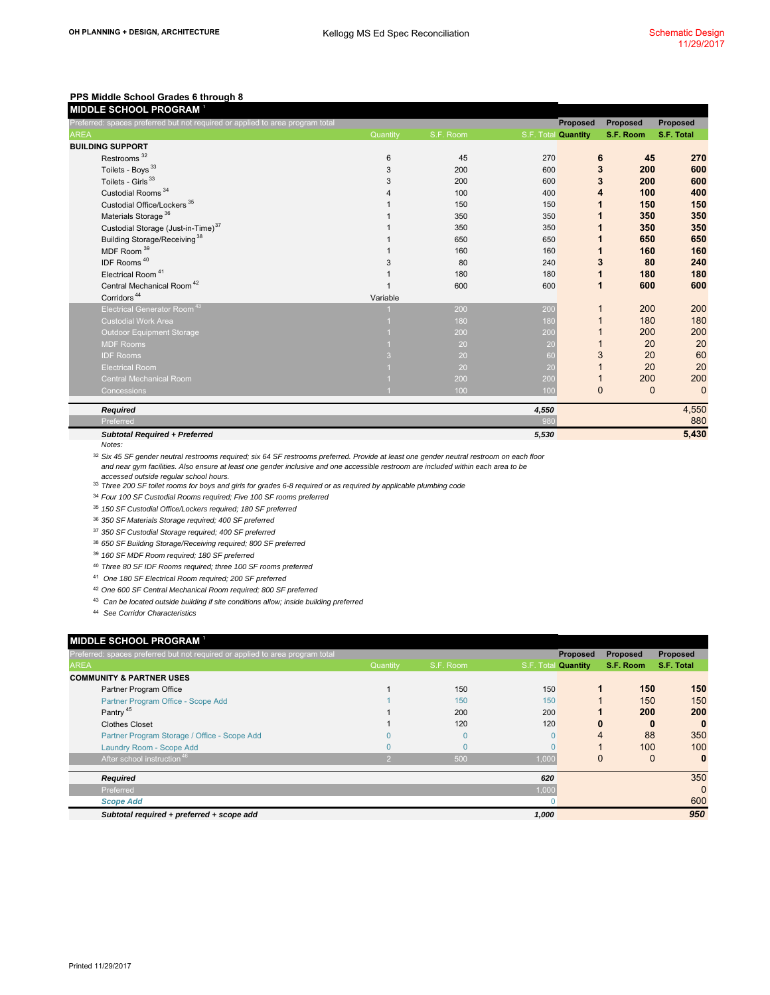| <u>Preferred: spaces p</u> referred but not required or applied to area program total |          |           |                     | Proposed    | <b>Proposed</b> | Proposed    |
|---------------------------------------------------------------------------------------|----------|-----------|---------------------|-------------|-----------------|-------------|
| <b>AREA</b>                                                                           | Quantity | S.F. Room | S.F. Total Quantity |             | S.F. Room       | S.F. Total  |
| <b>BUILDING SUPPORT</b>                                                               |          |           |                     |             |                 |             |
| Restrooms <sup>32</sup>                                                               | 6        | 45        | 270                 | 6           | 45              | 270         |
| Toilets - Boys <sup>33</sup>                                                          | 3        | 200       | 600                 | 3           | 200             | 600         |
| Toilets - Girls <sup>33</sup>                                                         | 3        | 200       | 600                 | 3           | 200             | 600         |
| Custodial Rooms <sup>34</sup>                                                         |          | 100       | 400                 | 4           | 100             | 400         |
| Custodial Office/Lockers <sup>35</sup>                                                |          | 150       | 150                 |             | 150             | 150         |
| Materials Storage <sup>36</sup>                                                       |          | 350       | 350                 |             | 350             | 350         |
| Custodial Storage (Just-in-Time) <sup>37</sup>                                        |          | 350       | 350                 |             | 350             | 350         |
| Building Storage/Receiving <sup>38</sup>                                              |          | 650       | 650                 |             | 650             | 650         |
| MDF Room <sup>39</sup>                                                                |          | 160       | 160                 |             | 160             | 160         |
| IDF Rooms <sup>40</sup>                                                               | 3        | 80        | 240                 | 3           | 80              | 240         |
| Electrical Room <sup>41</sup>                                                         |          | 180       | 180                 | 1           | 180             | 180         |
| Central Mechanical Room <sup>42</sup>                                                 |          | 600       | 600                 | 1           | 600             | 600         |
| Corridors <sup>44</sup>                                                               | Variable |           |                     |             |                 |             |
| Electrical Generator Room <sup>43</sup>                                               |          | 200       | 200                 |             | 200             | 200         |
| <b>Custodial Work Area</b>                                                            |          | 180       | 180                 |             | 180             | 180         |
| <b>Outdoor Equipment Storage</b>                                                      |          | 200       | 200                 |             | 200             | 200         |
| <b>MDF Rooms</b>                                                                      |          | 20        | 20                  |             | 20              | 20          |
| <b>IDF Rooms</b>                                                                      |          | 20        | 60                  | 3           | 20              | 60          |
| <b>Electrical Room</b>                                                                |          | 20        | 20                  |             | 20              | 20          |
| <b>Central Mechanical Room</b>                                                        |          | 200       | 200                 |             | 200             | 200         |
| Concessions                                                                           |          | 100       | 100                 | $\mathbf 0$ | $\mathbf{0}$    | $\mathbf 0$ |
| <b>Required</b>                                                                       |          |           | 4,550               |             |                 | 4,550       |
| Preferred                                                                             |          |           | 980                 |             |                 | 880         |
| <b>Subtotal Required + Preferred</b>                                                  |          |           | 5,530               |             |                 | 5,430       |

*Notes:*

32 *Six 45 SF gender neutral restrooms required; six 64 SF restrooms preferred. Provide at least one gender neutral restroom on each floor and near gym facilities. Also ensure at least one gender inclusive and one accessible restroom are included within each area to be* 

- 33 *accessed outside regular school hours. Three 200 SF toilet rooms for boys and girls for grades 6-8 required or as required by applicable plumbing code*
- 34 *Four 100 SF Custodial Rooms required; Five 100 SF rooms preferred*
- 35 *150 SF Custodial Office/Lockers required; 180 SF preferred*
- 36 *350 SF Materials Storage required; 400 SF preferred*
- 37 *350 SF Custodial Storage required; 400 SF preferred*
- 38 *650 SF Building Storage/Receiving required; 800 SF preferred*
- 39 *160 SF MDF Room required; 180 SF preferred*
- 40 *Three 80 SF IDF Rooms required; three 100 SF rooms preferred*
- 41  *One 180 SF Electrical Room required; 200 SF preferred*
- 42 *One 600 SF Central Mechanical Room required; 800 SF preferred*
- 43  *Can be located outside building if site conditions allow; inside building preferred*
- 44  *See Corridor Characteristics*

|             | MIDDLE SCHOOL PROGRAM <sup>1</sup>                                            |               |              |          |                            |                 |            |
|-------------|-------------------------------------------------------------------------------|---------------|--------------|----------|----------------------------|-----------------|------------|
|             | Preferred: spaces preferred but not required or applied to area program total |               |              |          | <b>Proposed</b>            | <b>Proposed</b> | Proposed   |
| <b>AREA</b> |                                                                               | Quantity      | S.F. Room    |          | S.F. Total <b>Quantity</b> | S.F. Room       | S.F. Total |
|             | <b>COMMUNITY &amp; PARTNER USES</b>                                           |               |              |          |                            |                 |            |
|             | Partner Program Office                                                        |               | 150          | 150      |                            | 150             | 150        |
|             | Partner Program Office - Scope Add                                            |               | 150          | 150      |                            | 150             | 150        |
|             | Pantry <sup>45</sup>                                                          |               | 200          | 200      |                            | 200             | 200        |
|             | <b>Clothes Closet</b>                                                         |               | 120          | 120      | 0                          | 0               | $\bf{0}$   |
|             | Partner Program Storage / Office - Scope Add                                  |               | $\mathbf{0}$ | $\Omega$ | 4                          | 88              | 350        |
|             | Laundry Room - Scope Add                                                      |               | 0            |          |                            | 100             | 100        |
|             | After school instruction <sup>46</sup>                                        | $\mathcal{L}$ | 500          | 1,000    | 0                          | $\mathbf{0}$    | $\bf{0}$   |
|             | <b>Required</b>                                                               |               |              | 620      |                            |                 | 350        |
|             | Preferred                                                                     |               |              | 1,000    |                            |                 | $\Omega$   |
|             | <b>Scope Add</b>                                                              |               |              | 0        |                            |                 | 600        |
|             | Subtotal required + preferred + scope add                                     |               |              | 1,000    |                            |                 | 950        |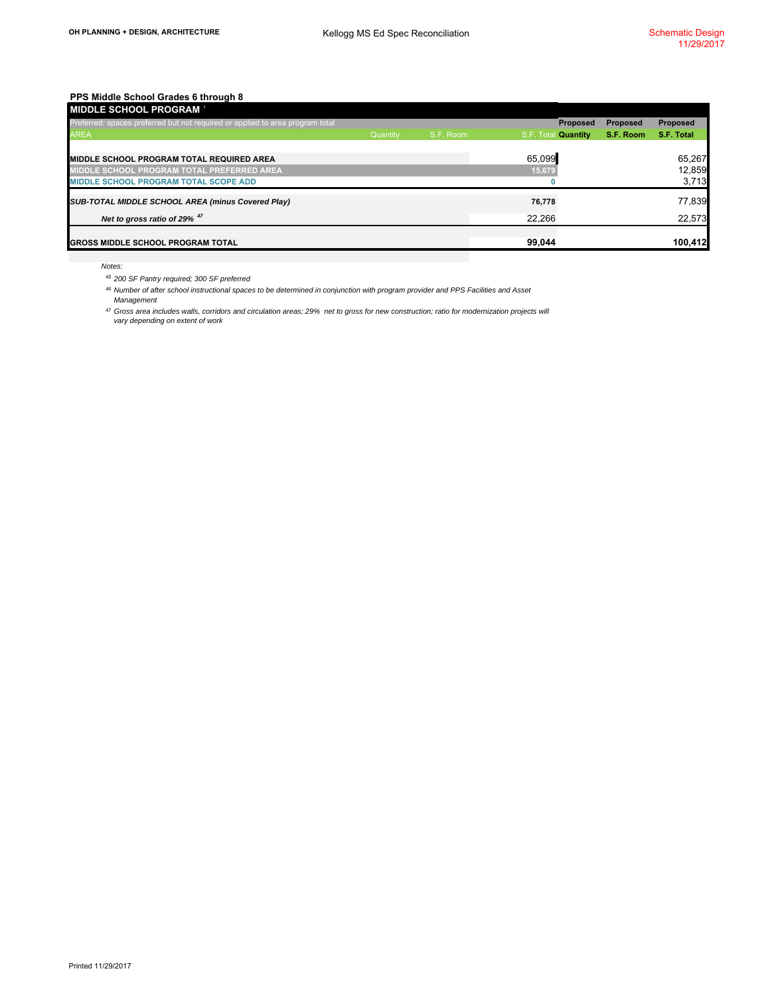| <b>MIDDLE SCHOOL PROGRAM</b>                                                  |          |           |                     |                 |                 |
|-------------------------------------------------------------------------------|----------|-----------|---------------------|-----------------|-----------------|
| Preferred: spaces preferred but not required or applied to area program total |          |           | <b>Proposed</b>     | <b>Proposed</b> | <b>Proposed</b> |
| <b>AREA</b>                                                                   | Quantity | S.F. Room | S.F. Total Quantity | S.F. Room       | S.F. Total      |
|                                                                               |          |           |                     |                 |                 |
| <b>MIDDLE SCHOOL PROGRAM TOTAL REQUIRED AREA</b>                              |          |           | 65,099              |                 | 65,267          |
| MIDDLE SCHOOL PROGRAM TOTAL PREFERRED AREA                                    |          |           | 15,679              |                 | 12,859          |
| <b>MIDDLE SCHOOL PROGRAM TOTAL SCOPE ADD</b>                                  |          |           |                     |                 | 3,713           |
| SUB-TOTAL MIDDLE SCHOOL AREA (minus Covered Play)                             |          |           | 76,778              |                 | 77,839          |
| Net to gross ratio of 29% 47                                                  |          |           | 22.266              |                 | 22,573          |
| <b>GROSS MIDDLE SCHOOL PROGRAM TOTAL</b>                                      |          |           | 99,044              |                 | 100,412         |
|                                                                               |          |           |                     |                 |                 |

*Notes:*

<sup>45</sup> *200 SF Pantry required; 300 SF preferred*

46 *Number of after school instructional spaces to be determined in conjunction with program provider and PPS Facilities and Asset Management*

47 *Gross area includes walls, corridors and circulation areas; 29% net to gross for new construction; ratio for modernization projects will vary depending on extent of work*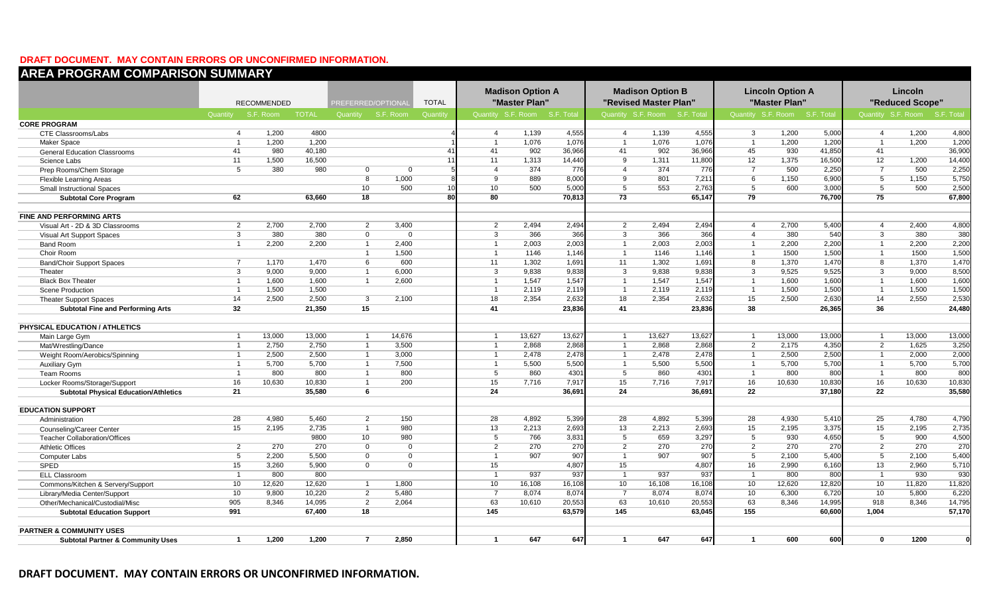### **DRAFT DOCUMENT. MAY CONTAIN ERRORS OR UNCONFIRMED INFORMATION.**

| <b>AREA PROGRAM COMPARISON SUMMARY</b>       |                |                    |              |                           |          |              |                 |                              |                  |                         |                              |        |                         |                               |        |                         |                               |                |
|----------------------------------------------|----------------|--------------------|--------------|---------------------------|----------|--------------|-----------------|------------------------------|------------------|-------------------------|------------------------------|--------|-------------------------|-------------------------------|--------|-------------------------|-------------------------------|----------------|
|                                              |                |                    |              | <b>Madison Option A</b>   |          |              |                 |                              |                  | <b>Madison Option B</b> |                              |        | <b>Lincoln Option A</b> |                               |        | Lincoln                 |                               |                |
|                                              |                | <b>RECOMMENDED</b> |              | <b>PREFERRED/OPTIONAL</b> |          | <b>TOTAL</b> |                 | "Master Plan"                |                  |                         | "Revised Master Plan"        |        |                         | "Master Plan"                 |        |                         | "Reduced Scope"               |                |
|                                              | Quantity       | S.F. Room          | <b>TOTAL</b> | Quantity S.F. Room        |          | Quantity     |                 | Quantity S.F. Room S.F. Tota |                  |                         | Quantity S.F. Room S.F. Tota |        |                         | Quantity S.F. Room S.F. Total |        |                         | Quantity S.F. Room S.F. Total |                |
| <b>CORE PROGRAM</b>                          |                |                    |              |                           |          |              |                 |                              |                  |                         |                              |        |                         |                               |        |                         |                               |                |
| <b>CTE Classrooms/Labs</b>                   | $\overline{4}$ | 1,200              | 4800         |                           |          |              | $\overline{4}$  | 1,139                        | 4,555            | $\overline{4}$          | 1,139                        | 4,555  | $\mathbf{3}$            | 1,200                         | 5,000  | $\overline{4}$          | 1,200                         | 4,800          |
| <b>Maker Space</b>                           | $\overline{1}$ | 1,200              | 1,200        |                           |          |              | $\overline{1}$  | 1,076                        | 1,076            | $\overline{1}$          | 1,076                        | 1,076  | $\overline{1}$          | 1,200                         | 1,200  | $\overline{1}$          | 1,200                         | 1,200          |
| <b>General Education Classrooms</b>          | 41             | 980                | 40,180       |                           |          | 41           | 41              | 902                          | 36,966           | 41                      | 902                          | 36,966 | 45                      | 930                           | 41,850 | 41                      |                               | 36,900         |
| Science Labs                                 | 11             | 1,500              | 16,500       |                           |          | 11           | 11              | 1,313                        | 14,440           | $\overline{9}$          | 1,311                        | 11,800 | 12                      | 1,375                         | 16,500 | 12                      | 1,200                         | 14,400         |
| Prep Rooms/Chem Storage                      | $\overline{5}$ | 380                | 980          | $\Omega$                  | $\Omega$ |              | $\overline{4}$  | 374                          | 776              | $\overline{4}$          | 374                          | 776    | $\overline{7}$          | 500                           | 2,250  | $\overline{7}$          | 500                           | 2,250          |
| <b>Flexible Learning Areas</b>               |                |                    |              | 8                         | 1,000    |              | 9               | 889                          | 8,000            | 9                       | 801                          | 7,211  | 6                       | 1,150                         | 6,900  | 5                       | 1,150                         | 5,750          |
| <b>Small Instructional Spaces</b>            |                |                    |              | 10 <sup>°</sup>           | 500      | 10           | 10              | 500                          | 5,000            | 5                       | 553                          | 2,763  | 5                       | 600                           | 3,000  | 5                       | 500                           | 2,500          |
| <b>Subtotal Core Program</b>                 | 62             |                    | 63,660       | 18                        |          | 80           | 80              |                              | 70,813           | 73                      |                              | 65,147 | 79                      |                               | 76,700 | 75                      |                               | 67,800         |
|                                              |                |                    |              |                           |          |              |                 |                              |                  |                         |                              |        |                         |                               |        |                         |                               |                |
| <b>FINE AND PERFORMING ARTS</b>              |                |                    |              |                           |          |              |                 |                              |                  |                         |                              |        |                         |                               |        |                         |                               |                |
| Visual Art - 2D & 3D Classrooms              | $\overline{2}$ | 2,700              | 2,700        | $\overline{2}$            | 3,400    |              | $\overline{2}$  | 2,494                        | 2,494            | $\overline{2}$          | 2,494                        | 2,494  | $\overline{4}$          | 2,700                         | 5,400  | $\overline{4}$          | 2,400                         | 4,800          |
| Visual Art Support Spaces                    | $\overline{3}$ | 380                | 380          | $\mathbf{0}$              | $\Omega$ |              | 3               | 366                          | 366              | 3                       | 366                          | 366    | $\overline{4}$          | 380                           | 540    | $\overline{3}$          | 380                           | 380            |
| <b>Band Room</b>                             | $\overline{1}$ | 2,200              | 2.200        | $\overline{1}$            | 2.400    |              | $\overline{1}$  | 2,003                        | 2,003            | $\overline{1}$          | 2,003                        | 2,003  | $\overline{1}$          | 2,200                         | 2,200  | $\overline{1}$          | 2,200                         | 2,200          |
| Choir Room                                   |                |                    |              | $\overline{1}$            | 1,500    |              | $\overline{1}$  | 1146                         | 1.146            | $\overline{1}$          | 1146                         | 1.146  | $\overline{1}$          | 1500                          | 1,500  | $\overline{\mathbf{1}}$ | 1500                          | 1,500          |
| <b>Band/Choir Support Spaces</b>             | $\overline{7}$ | 1,170              | 1,470        | 6                         | 600      |              | 11              | 1,302                        | 1,691            | 11                      | 1,302                        | 1,691  | $\overline{8}$          | 1,370                         | 1,470  | $\overline{8}$          | 1,370                         | 1,470          |
| Theater                                      | $\overline{3}$ | 9,000              | 9,000        | $\overline{1}$            | 6,000    |              | 3               | 9,838                        | 9,838            | $\overline{3}$          | 9,838                        | 9,836  | $\overline{3}$          | 9,525                         | 9,525  | 3                       | 9,000                         | 8,500          |
| <b>Black Box Theater</b>                     | $\overline{1}$ | 1,600              | 1,600        | $\overline{1}$            | 2,600    |              | $\mathbf{1}$    | 1,547                        | 1,547            |                         | 1,547                        | 1,547  | $\overline{1}$          | 1,600                         | 1,600  |                         | 1,600                         | 1,600          |
| Scene Production                             | $\overline{1}$ | 1.500              | 1,500        |                           |          |              | $\overline{1}$  | 2,119                        | 2,115            |                         | 2,119                        | 2,11   |                         | 1,500                         | 1,500  |                         | 1,500                         | 1,500          |
| <b>Theater Support Spaces</b>                | 14             | 2,500              | 2,500        | $\overline{3}$            | 2,100    |              | 18              | 2,354                        | 2,632            | 18                      | 2,354                        | 2,632  | 15                      | 2,500                         | 2,630  | 14                      | 2,550                         | 2,530          |
| <b>Subtotal Fine and Performing Arts</b>     | 32             |                    | 21,350       | 15                        |          |              | 41              |                              | 23,836           | 41                      |                              | 23,836 | 38                      |                               | 26,365 | 36                      |                               | 24,480         |
| PHYSICAL EDUCATION / ATHLETICS               |                |                    |              |                           |          |              |                 |                              |                  |                         |                              |        |                         |                               |        |                         |                               |                |
| Main Large Gym                               | $\overline{1}$ | 13,000             | 13,000       | $\overline{1}$            | 14,676   |              | $\overline{1}$  | 13,627                       | 13,627           | $\overline{1}$          | 13,627                       | 13,627 | $\overline{1}$          | 13,000                        | 13,000 | $\overline{1}$          | 13,000                        | 13,000         |
| Mat/Wrestling/Dance                          | $\overline{1}$ | 2.750              | 2.750        | $\overline{1}$            | 3.500    |              | $\overline{1}$  | 2,868                        | 2.868            | $\overline{1}$          | 2,868                        | 2.868  | $\overline{2}$          | 2,175                         | 4,350  | $\overline{2}$          | 1,625                         | 3,250          |
| Weight Room/Aerobics/Spinning                | $\overline{1}$ | 2,500              | 2,500        | $\overline{1}$            | 3,000    |              | $\overline{1}$  | 2,478                        | 2,478            | $\overline{1}$          | 2,478                        | 2,478  | $\overline{1}$          | 2,500                         | 2,500  | $\overline{1}$          | 2,000                         | 2,000          |
| <b>Auxiliary Gym</b>                         | $\overline{1}$ | 5,700              | 5,700        | $\overline{1}$            | 7,500    |              | $\overline{1}$  | 5,500                        | 5,500            | $\overline{1}$          | 5,500                        | 5,500  | $\overline{1}$          | 5,700                         | 5,700  | $\overline{\mathbf{1}}$ | 5,700                         | 5,700          |
| <b>Team Rooms</b>                            | $\overline{1}$ | 800                | 800          | $\mathbf{1}$              | 800      |              | $5\overline{)}$ | 860                          | 430 <sup>°</sup> | $\overline{5}$          | 860                          | 430    | $\overline{1}$          | 800                           | 800    |                         | 800                           | 800            |
| Locker Rooms/Storage/Support                 | 16             | 10,630             | 10,830       | $\overline{1}$            | 200      |              | 15              | 7,716                        | 7,917            | 15                      | 7,716                        | 7,91   | 16                      | 10,630                        | 10,830 | 16                      | 10,630                        | 10,830         |
| <b>Subtotal Physical Education/Athletics</b> | 21             |                    | 35.580       | 6                         |          |              | 24              |                              | 36.691           | 24                      |                              | 36.691 | 22                      |                               | 37.180 | 22                      |                               | 35.580         |
|                                              |                |                    |              |                           |          |              |                 |                              |                  |                         |                              |        |                         |                               |        |                         |                               |                |
| <b>EDUCATION SUPPORT</b>                     |                |                    |              |                           |          |              |                 |                              |                  |                         |                              |        |                         |                               |        |                         |                               |                |
| Administration                               | 28             | 4,980              | 5,460        | $\overline{2}$            | 150      |              | 28              | 4,892                        | 5,399            | 28                      | 4,892                        | 5,399  | 28                      | 4,930                         | 5,41   | 25                      | 4,780                         | 4,790          |
| <b>Counseling/Career Center</b>              | 15             | 2,195              | 2,735        | $\mathbf{1}$              | 980      |              | 13              | 2,213                        | 2,693            | 13                      | 2,213                        | 2,693  | 15                      | 2,195                         | 3,375  | 15                      | 2,195                         | 2,735          |
| <b>Teacher Collaboration/Offices</b>         |                |                    | 9800         | 10 <sup>°</sup>           | 980      |              | 5               | 766                          | 3,831            | $5\overline{)}$         | 659                          | 3,297  | 5                       | 930                           | 4,650  | $5\overline{5}$         | 900                           | 4,500          |
| <b>Athletic Offices</b>                      | 2              | 270                | 270          | $\overline{0}$            | $\Omega$ |              | 2               | 270                          | 270              | 2                       | 270                          | 270    | $\overline{2}$          | 270                           | 270    | $\overline{2}$          | 270                           | 270            |
| <b>Computer Labs</b>                         | 5              | 2,200              | 5,500        | $\mathbf{0}$              | $\Omega$ |              | $\overline{1}$  | 907                          | 907              | $\overline{1}$          | 907                          | 907    | 5                       | 2,100                         | 5,400  | 5                       | 2,100                         | 5,400          |
| <b>SPED</b>                                  | 15             | 3,260              | 5,900        | $\overline{0}$            | $\Omega$ |              | 15              |                              | 4,807            | 15                      |                              | 4,807  | 16                      | 2,990                         | 6,160  | 13                      | 2,960                         | 5,710          |
| <b>ELL Classroom</b>                         | $\overline{1}$ | 800                | 800          |                           |          |              | $\overline{1}$  | 937                          | 937              |                         | 937                          | 937    | $\overline{1}$          | 800                           | 800    |                         | 930                           | 930            |
| Commons/Kitchen & Servery/Support            | 10             | 12.620             | 12,620       | $\overline{1}$            | 1,800    |              | 10              | 16.108                       | 16,108           | 10                      | 16.108                       | 16,108 | 10                      | 12,620                        | 12,820 | 10                      | 11,820                        | 11,820         |
| Library/Media Center/Support                 | 10             | 9,800              | 10,220       | $\overline{2}$            | 5,480    |              | $\overline{7}$  | 8,074                        | 8,074            | $\overline{7}$          | 8,074                        | 8,074  | 10                      | 6,300                         | 6,720  | 10                      | 5,800                         | 6,220          |
| Other/Mechanical/Custodial/Misc              | 905            | 8,346              | 14,095       | $\overline{2}$            | 2,064    |              | 63              | 10,610                       | 20,553           | 63                      | 10,610                       | 20,553 | 63                      | 8,346                         | 14,995 | 918                     | 8,346                         | 14,795         |
| <b>Subtotal Education Support</b>            | 991            |                    | 67,400       | 18                        |          |              | 145             |                              | 63,579           | 145                     |                              | 63,045 | 155                     |                               | 60,600 | 1,004                   |                               | 57,170         |
| <b>PARTNER &amp; COMMUNITY USES</b>          |                |                    |              |                           |          |              |                 |                              |                  |                         |                              |        |                         |                               |        |                         |                               |                |
| <b>Subtotal Partner &amp; Community Uses</b> | $\mathbf{1}$   | 1.200              | 1.200        | $\overline{7}$            | 2.850    |              | $\mathbf{1}$    | 647                          | 647              | $\mathbf{1}$            | 647                          | 647    | $\overline{\mathbf{1}}$ | 600                           | 600    | $\mathbf{0}$            | 1200                          | $\overline{0}$ |
|                                              |                |                    |              |                           |          |              |                 |                              |                  |                         |                              |        |                         |                               |        |                         |                               |                |

**DRAFT DOCUMENT. MAY CONTAIN ERRORS OR UNCONFIRMED INFORMATION.**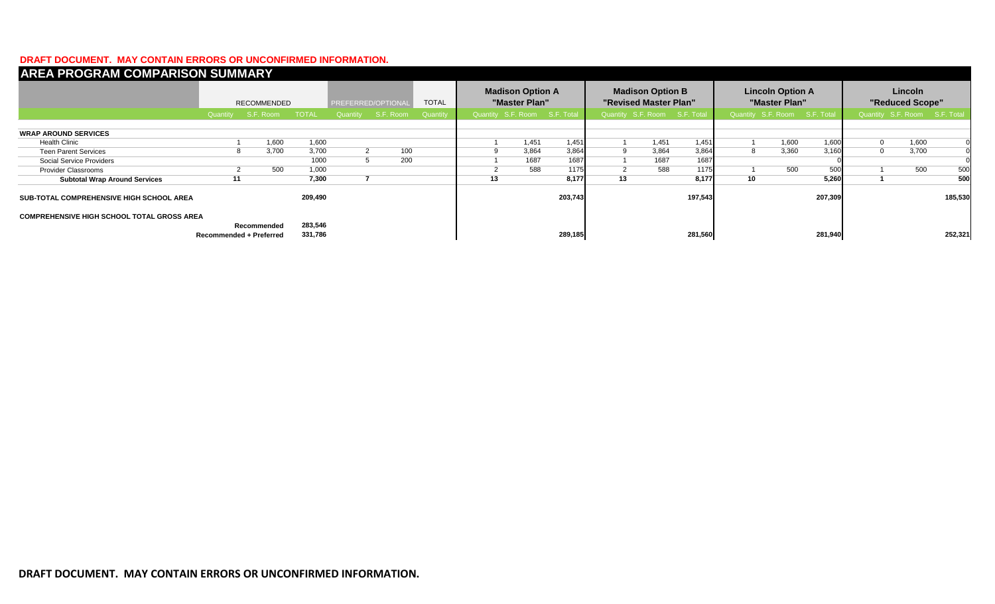### **DRAFT DOCUMENT. MAY CONTAIN ERRORS OR UNCONFIRMED INFORMATION.**

| <b>AREA PROGRAM COMPARISON SUMMARY</b>            |          |                           |                    |                    |                    |          |                                          |                               |                                                  |                               |       |                                          |                               |       |                            |                               |       |         |
|---------------------------------------------------|----------|---------------------------|--------------------|--------------------|--------------------|----------|------------------------------------------|-------------------------------|--------------------------------------------------|-------------------------------|-------|------------------------------------------|-------------------------------|-------|----------------------------|-------------------------------|-------|---------|
|                                                   |          | RECOMMENDED               |                    | PREFERRED/OPTIONAL |                    |          | <b>Madison Option A</b><br>"Master Plan" |                               | <b>Madison Option B</b><br>"Revised Master Plan" |                               |       | <b>Lincoln Option A</b><br>"Master Plan" |                               |       | Lincoln<br>"Reduced Scope" |                               |       |         |
|                                                   | Quantity | S.F. Room<br><b>TOTAL</b> |                    |                    | Quantity S.F. Room | Quantity |                                          | Quantity S.F. Room S.F. Total |                                                  | Quantity S.F. Room S.F. Total |       |                                          | Quantity S.F. Room S.F. Total |       |                            | Quantity S.F. Room S.F. Total |       |         |
| <b>WRAP AROUND SERVICES</b>                       |          |                           |                    |                    |                    |          |                                          |                               |                                                  |                               |       |                                          |                               |       |                            |                               |       |         |
| <b>Health Clinic</b>                              |          | 1,600                     | 1,600              |                    |                    |          |                                          | 1,451                         | 1,451                                            |                               | 1,451 | 1,451                                    |                               | 1,600 | 1,600                      | $\Omega$                      | 1,600 |         |
| <b>Teen Parent Services</b>                       | 8        | 3,700                     | 3,700              |                    | 100                |          | 9                                        | 3,864                         | 3,864                                            |                               | 3,864 | 3,864                                    | 8                             | 3,360 | 3,160                      | $\Omega$                      | 3,700 | οI      |
| Social Service Providers                          |          |                           | 1000               |                    | 200                |          |                                          | 1687                          | 1687                                             |                               | 1687  | 1687                                     |                               |       |                            |                               |       |         |
| <b>Provider Classrooms</b>                        |          | 500                       | 1,000              |                    |                    |          |                                          | 588                           | 1175                                             |                               | 588   | 1175                                     |                               | 500   | 500                        |                               | 500   | 500     |
| <b>Subtotal Wrap Around Services</b>              | 11       |                           | 7,300              |                    |                    |          | 13                                       |                               | 8,177                                            | 13                            |       | 8,177                                    | 10                            |       | 5,260                      |                               |       | 500     |
| <b>SUB-TOTAL COMPREHENSIVE HIGH SCHOOL AREA</b>   |          |                           | 209,490            |                    |                    |          |                                          |                               | 203,743                                          |                               |       | 197,543                                  |                               |       | 207,309                    |                               |       | 185,530 |
| <b>COMPREHENSIVE HIGH SCHOOL TOTAL GROSS AREA</b> |          |                           |                    |                    |                    |          |                                          |                               |                                                  |                               |       |                                          |                               |       |                            |                               |       |         |
| Recommended<br><b>Recommended + Preferred</b>     |          |                           | 283,546<br>331,786 |                    |                    |          |                                          |                               | 289,185                                          |                               |       | 281,560                                  |                               |       | 281,940                    |                               |       | 252,321 |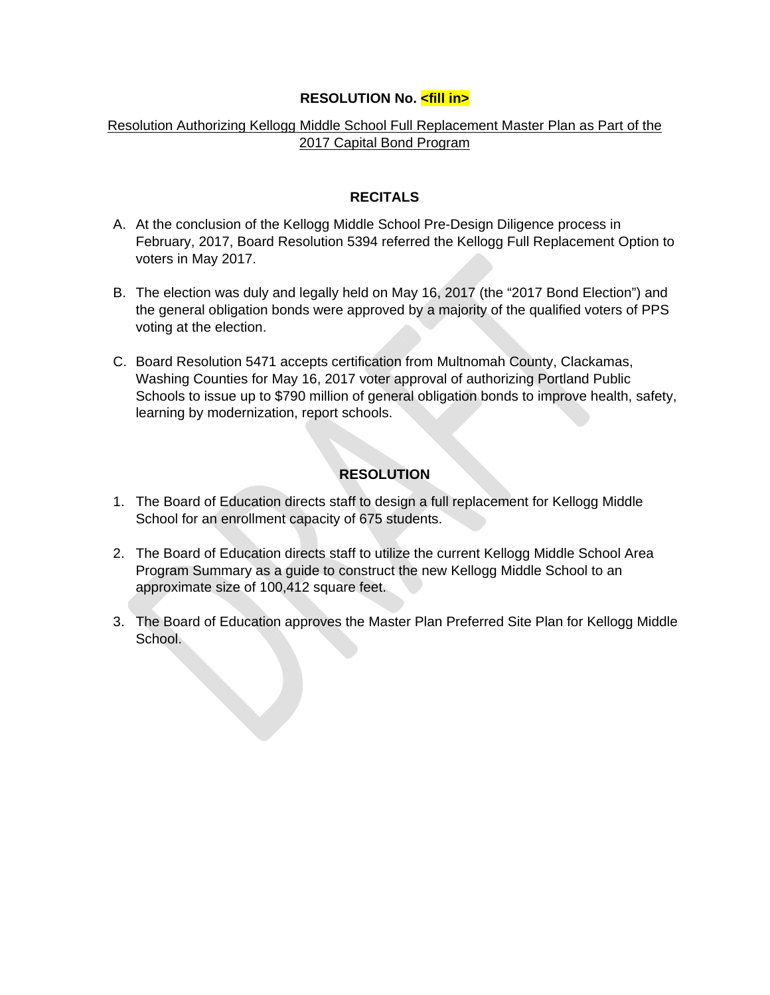# **RESOLUTION No. <fill in>**

# Resolution Authorizing Kellogg Middle School Full Replacement Master Plan as Part of the 2017 Capital Bond Program

## **RECITALS**

- A. At the conclusion of the Kellogg Middle School Pre-Design Diligence process in February, 2017, Board Resolution 5394 referred the Kellogg Full Replacement Option to voters in May 2017.
- B. The election was duly and legally held on May 16, 2017 (the "2017 Bond Election") and the general obligation bonds were approved by a majority of the qualified voters of PPS voting at the election.
- C. Board Resolution 5471 accepts certification from Multnomah County, Clackamas, Washing Counties for May 16, 2017 voter approval of authorizing Portland Public Schools to issue up to \$790 million of general obligation bonds to improve health, safety, learning by modernization, report schools.

# **RESOLUTION**

- 1. The Board of Education directs staff to design a full replacement for Kellogg Middle School for an enrollment capacity of 675 students.
- 2. The Board of Education directs staff to utilize the current Kellogg Middle School Area Program Summary as a guide to construct the new Kellogg Middle School to an approximate size of 100,412 square feet.
- 3. The Board of Education approves the Master Plan Preferred Site Plan for Kellogg Middle School.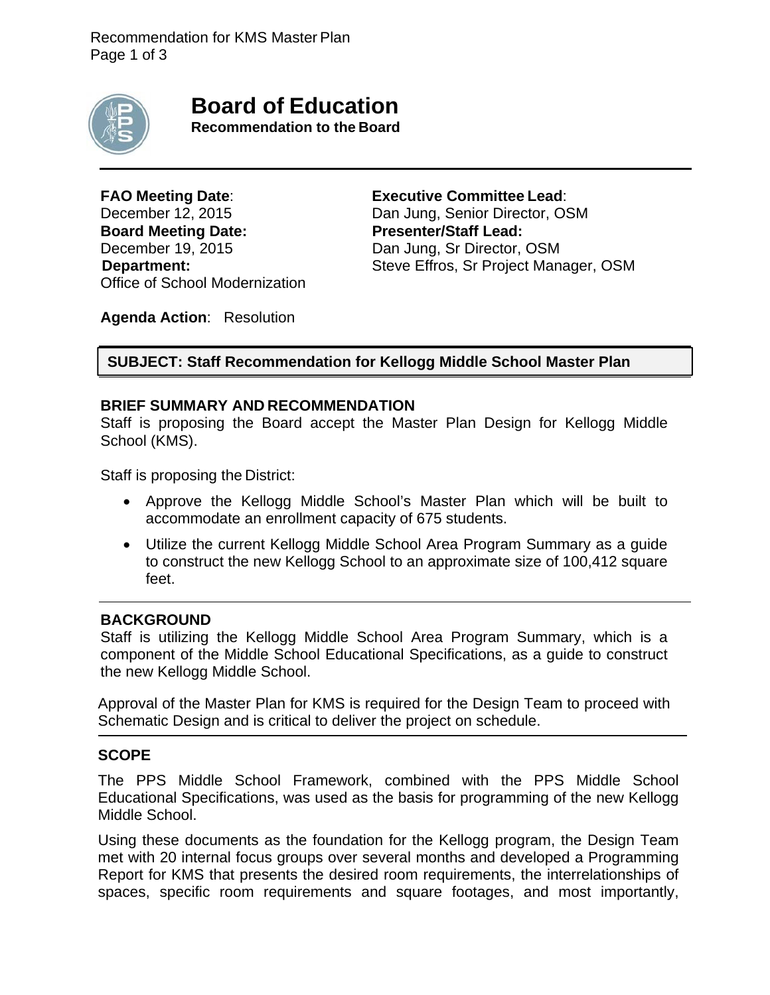

**Board of Education**

**Recommendation to the Board**

**FAO Meeting Date**: **Executive Committee Lead**: **Board Meeting Date: Presenter/Staff Lead:**  December 19, 2015 Dan Jung, Sr Director, OSM Office of School Modernization

December 12, 2015 Dan Jung, Senior Director, OSM **Department:** Steve Effros, Sr Project Manager, OSM

**Agenda Action**: Resolution

**SUBJECT: Staff Recommendation for Kellogg Middle School Master Plan**

# **BRIEF SUMMARY AND RECOMMENDATION**

Staff is proposing the Board accept the Master Plan Design for Kellogg Middle School (KMS).

Staff is proposing the District:

- Approve the Kellogg Middle School's Master Plan which will be built to accommodate an enrollment capacity of 675 students.
- Utilize the current Kellogg Middle School Area Program Summary as a guide to construct the new Kellogg School to an approximate size of 100,412 square feet.

# **BACKGROUND**

Staff is utilizing the Kellogg Middle School Area Program Summary, which is a component of the Middle School Educational Specifications, as a guide to construct the new Kellogg Middle School.

Approval of the Master Plan for KMS is required for the Design Team to proceed with Schematic Design and is critical to deliver the project on schedule.

# **SCOPE**

The PPS Middle School Framework, combined with the PPS Middle School Educational Specifications, was used as the basis for programming of the new Kellogg Middle School.

Using these documents as the foundation for the Kellogg program, the Design Team met with 20 internal focus groups over several months and developed a Programming Report for KMS that presents the desired room requirements, the interrelationships of spaces, specific room requirements and square footages, and most importantly,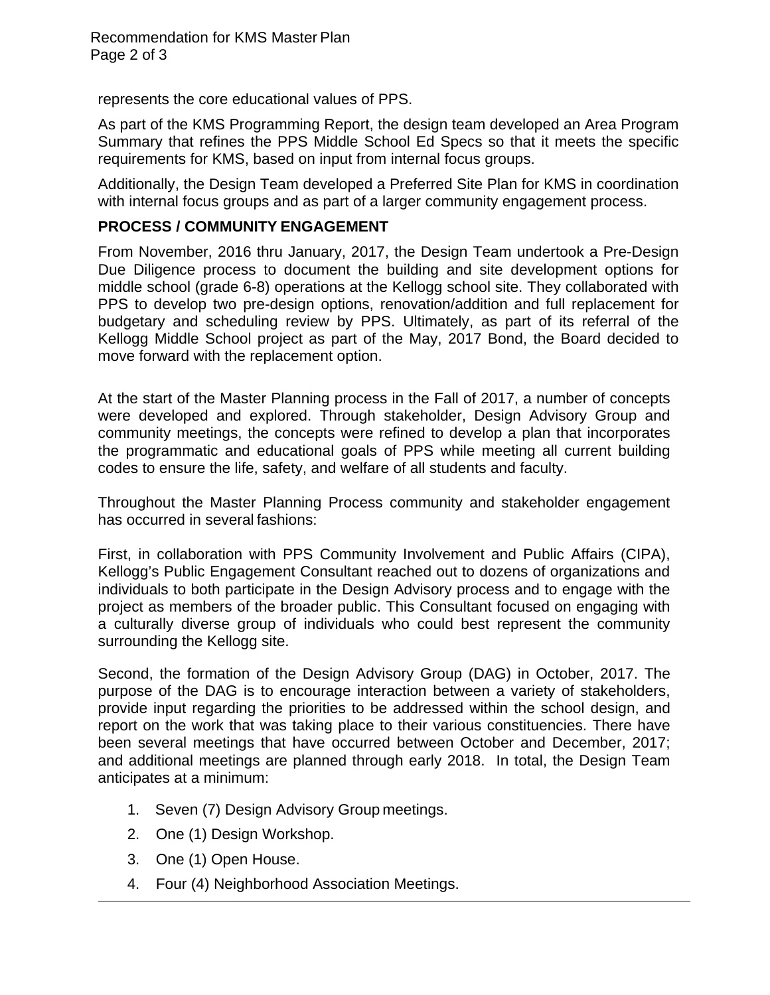represents the core educational values of PPS.

As part of the KMS Programming Report, the design team developed an Area Program Summary that refines the PPS Middle School Ed Specs so that it meets the specific requirements for KMS, based on input from internal focus groups.

Additionally, the Design Team developed a Preferred Site Plan for KMS in coordination with internal focus groups and as part of a larger community engagement process.

# **PROCESS / COMMUNITY ENGAGEMENT**

From November, 2016 thru January, 2017, the Design Team undertook a Pre-Design Due Diligence process to document the building and site development options for middle school (grade 6-8) operations at the Kellogg school site. They collaborated with PPS to develop two pre-design options, renovation/addition and full replacement for budgetary and scheduling review by PPS. Ultimately, as part of its referral of the Kellogg Middle School project as part of the May, 2017 Bond, the Board decided to move forward with the replacement option.

At the start of the Master Planning process in the Fall of 2017, a number of concepts were developed and explored. Through stakeholder, Design Advisory Group and community meetings, the concepts were refined to develop a plan that incorporates the programmatic and educational goals of PPS while meeting all current building codes to ensure the life, safety, and welfare of all students and faculty.

Throughout the Master Planning Process community and stakeholder engagement has occurred in several fashions:

First, in collaboration with PPS Community Involvement and Public Affairs (CIPA), Kellogg's Public Engagement Consultant reached out to dozens of organizations and individuals to both participate in the Design Advisory process and to engage with the project as members of the broader public. This Consultant focused on engaging with a culturally diverse group of individuals who could best represent the community surrounding the Kellogg site.

Second, the formation of the Design Advisory Group (DAG) in October, 2017. The purpose of the DAG is to encourage interaction between a variety of stakeholders, provide input regarding the priorities to be addressed within the school design, and report on the work that was taking place to their various constituencies. There have been several meetings that have occurred between October and December, 2017; and additional meetings are planned through early 2018. In total, the Design Team anticipates at a minimum:

- 1. Seven (7) Design Advisory Group meetings.
- 2. One (1) Design Workshop.
- 3. One (1) Open House.
- 4. Four (4) Neighborhood Association Meetings.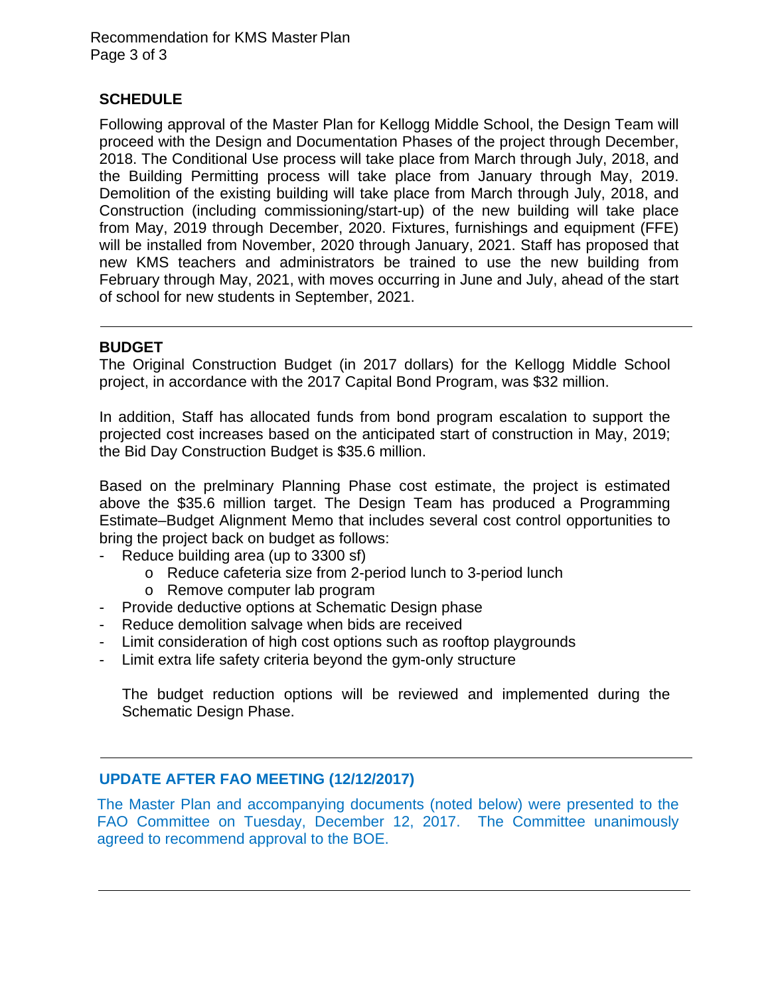Recommendation for KMS Master Plan Page 3 of 3

# **SCHEDULE**

Following approval of the Master Plan for Kellogg Middle School, the Design Team will proceed with the Design and Documentation Phases of the project through December, 2018. The Conditional Use process will take place from March through July, 2018, and the Building Permitting process will take place from January through May, 2019. Demolition of the existing building will take place from March through July, 2018, and Construction (including commissioning/start-up) of the new building will take place from May, 2019 through December, 2020. Fixtures, furnishings and equipment (FFE) will be installed from November, 2020 through January, 2021. Staff has proposed that new KMS teachers and administrators be trained to use the new building from February through May, 2021, with moves occurring in June and July, ahead of the start of school for new students in September, 2021.

# **BUDGET**

The Original Construction Budget (in 2017 dollars) for the Kellogg Middle School project, in accordance with the 2017 Capital Bond Program, was \$32 million.

In addition, Staff has allocated funds from bond program escalation to support the projected cost increases based on the anticipated start of construction in May, 2019; the Bid Day Construction Budget is \$35.6 million.

Based on the prelminary Planning Phase cost estimate, the project is estimated above the \$35.6 million target. The Design Team has produced a Programming Estimate–Budget Alignment Memo that includes several cost control opportunities to bring the project back on budget as follows:

- Reduce building area (up to 3300 sf)
	- o Reduce cafeteria size from 2-period lunch to 3-period lunch
	- o Remove computer lab program
- Provide deductive options at Schematic Design phase
- Reduce demolition salvage when bids are received
- Limit consideration of high cost options such as rooftop playgrounds
- Limit extra life safety criteria beyond the gym-only structure

The budget reduction options will be reviewed and implemented during the Schematic Design Phase.

# **UPDATE AFTER FAO MEETING (12/12/2017)**

The Master Plan and accompanying documents (noted below) were presented to the FAO Committee on Tuesday, December 12, 2017. The Committee unanimously agreed to recommend approval to the BOE.